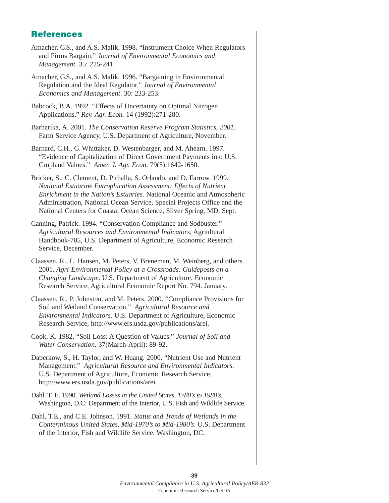## **References**

- Amacher, G.S., and A.S. Malik. 1998. "Instrument Choice When Regulators and Firms Bargain." *Journal of Environmental Economics and Management*. 35: 225-241.
- Amacher, G.S., and A.S. Malik. 1996. "Bargaining in Environmental Regulation and the Ideal Regulator." *Journal of Environmental Economics and Management*. 30: 233-253.
- Babcock, B.A. 1992. "Effects of Uncertainty on Optimal Nitrogen Applications." *Rev. Agr. Econ.* 14 (1992):271-280.
- Barbarika, A. 2001. *The Conservation Reserve Program Statistics, 2001.* Farm Service Agency, U.S. Department of Agriculture, November.
- Barnard, C.H., G. Whittaker, D. Westenbarger, and M. Ahearn. 1997. "Evidence of Capitalization of Direct Government Payments into U.S. Cropland Values." *Amer. J. Agr. Econ*. 79(5):1642-1650.
- Bricker, S., C. Clement, D. Pirhalla, S. Orlando, and D. Farrow. 1999. *National Estuarine Eutrophication Assessment: Effects of Nutrient Enrichment in the Nation's Estuaries.* National Oceanic and Atmospheric Administration, National Ocean Service, Special Projects Office and the National Centers for Coastal Ocean Science, Silver Spring, MD. Sept.
- Canning, Patrick. 1994. "Conservation Compliance and Sodbuster." *Agricultural Resources and Environmental Indicators*, Agriultural Handbook-705, U.S. Department of Agriculture, Economic Research Service, December.
- Claassen, R., L. Hansen, M. Peters, V. Breneman, M. Weinberg, and others. 2001. *Agri-Environmental Policy at a Crossroads: Guideposts on a Changing Landscape*. U.S. Department of Agriculture, Economic Research Service, Agricultural Economic Report No. 794. January.
- Claassen, R., P. Johnston, and M. Peters. 2000. "Compliance Provisions for Soil and Wetland Conservation." *Agricultural Resource and Environmental Indicators*. U.S. Department of Agriculture, Economic Research Service, http://www.ers.usda.gov/publications/arei.
- Cook, K. 1982. "Soil Loss: A Question of Values." *Journal of Soil and Water Conservation*. 37(March-April): 89-92.
- Daberkow, S., H. Taylor, and W. Huang. 2000. "Nutrient Use and Nutrient Management." *Agricultural Resource and Environmental Indicators*. U.S. Department of Agriculture, Economic Research Service, http://www.ers.usda.gov/publications/arei.
- Dahl, T. E. 1990. *Wetland Losses in the United States, 1780's to 1980's.* Washington, D.C: Department of the Interior, U.S. Fish and Wildlife Service.
- Dahl, T.E., and C.E. Johnson. 1991. *Status and Trends of Wetlands in the Conterminous United States, Mid-1970's to Mid-1980's*. U.S. Department of the Interior, Fish and Wildlife Service. Washington, DC.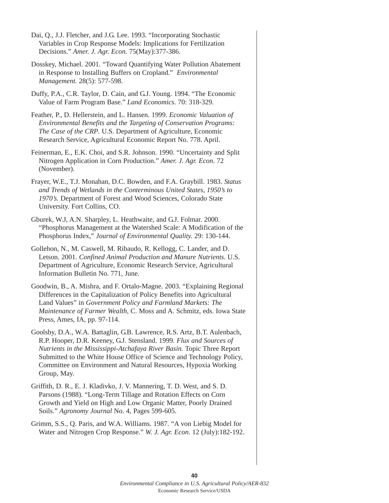- Dai, Q., J.J. Fletcher, and J.G. Lee. 1993. "Incorporating Stochastic Variables in Crop Response Models: Implications for Fertilization Decisions." *Amer. J. Agr. Econ.* 75(May):377-386.
- Dosskey, Michael. 2001. "Toward Quantifying Water Pollution Abatement in Response to Installing Buffers on Cropland." *Environmental Management.* 28(5): 577-598.
- Duffy, P.A., C.R. Taylor, D. Cain, and G.J. Young. 1994. "The Economic Value of Farm Program Base." *Land Economics*. 70: 318-329.
- Feather, P., D. Hellerstein, and L. Hansen. 1999. *Economic Valuation of Environmental Benefits and the Targeting of Conservation Programs: The Case of the CRP*. U.S. Department of Agriculture, Economic Research Service, Agricultural Economic Report No. 778. April.
- Feinerman, E., E.K. Choi, and S.R. Johnson. 1990. "Uncertainty and Split Nitrogen Application in Corn Production." *Amer. J. Agr. Econ.* 72 (November).
- Frayer, W.E., T.J. Monahan, D.C. Bowden, and F.A. Graybill. 1983. *Status and Trends of Wetlands in the Conterminous United States, 1950's to 1970's.* Department of Forest and Wood Sciences, Colorado State University. Fort Collins, CO.
- Gburek, W.J, A.N. Sharpley, L. Heathwaite, and G.J. Folmar. 2000. "Phosphorus Management at the Watershed Scale: A Modification of the Phosphorus Index," *Journal of Environmental Quality.* 29: 130-144.
- Gollehon, N., M. Caswell, M. Ribaudo, R. Kellogg, C. Lander, and D. Letson. 2001. *Confined Animal Production and Manure Nutrients*. U.S. Department of Agriculture, Economic Research Service, Agricultural Information Bulletin No. 771, June.
- Goodwin, B., A. Mishra, and F. Ortalo-Magne. 2003. "Explaining Regional Differences in the Capitalization of Policy Benefits into Agricultural Land Values" in *Government Policy and Farmland Markets: The Maintenance of Farmer Wealth*, C. Moss and A. Schmitz, eds. Iowa State Press, Ames, IA, pp. 97-114.
- Goolsby, D.A., W.A. Battaglin, G.B. Lawrence, R.S. Artz, B.T. Aulenbach, R.P. Hooper, D.R. Keeney, G.J. Stensland. 1999*. Flux and Sources of Nutrients in the Mississippi-Atchafaya River Basin.* Topic Three Report Submitted to the White House Office of Science and Technology Policy, Committee on Environment and Natural Resources, Hypoxia Working Group, May.
- Griffith, D. R., E. J. Kladivko, J. V. Mannering, T. D. West, and S. D. Parsons (1988). "Long-Term Tillage and Rotation Effects on Corn Growth and Yield on High and Low Organic Matter, Poorly Drained Soils." *Agronomy Journal* No. 4, Pages 599-605.
- Grimm, S.S., Q. Paris, and W.A. Williams. 1987. "A von Liebig Model for Water and Nitrogen Crop Response." *W. J. Agr. Econ*. 12 (July):182-192.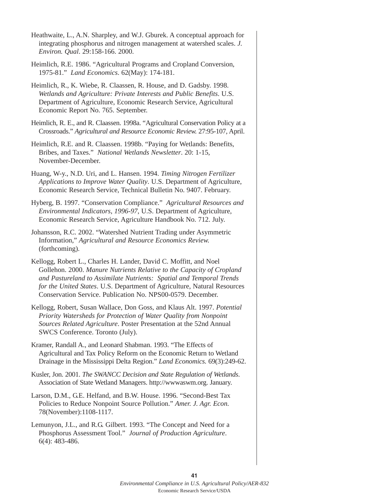| Heathwaite, L., A.N. Sharpley, and W.J. Gburek. A conceptual approach for<br>integrating phosphorus and nitrogen management at watershed scales. J.<br>Environ. Qual. 29:158-166. 2000.                                                                                                                                                                       |
|---------------------------------------------------------------------------------------------------------------------------------------------------------------------------------------------------------------------------------------------------------------------------------------------------------------------------------------------------------------|
| Heimlich, R.E. 1986. "Agricultural Programs and Cropland Conversion,<br>1975-81." Land Economics. 62(May): 174-181.                                                                                                                                                                                                                                           |
| Heimlich, R., K. Wiebe, R. Claassen, R. House, and D. Gadsby. 1998.<br>Wetlands and Agriculture: Private Interests and Public Benefits. U.S.<br>Department of Agriculture, Economic Research Service, Agricultural<br>Economic Report No. 765. September.                                                                                                     |
| Heimlich, R. E., and R. Claassen. 1998a. "Agricultural Conservation Policy at a<br>Crossroads." Agricultural and Resource Economic Review. 27:95-107, April.                                                                                                                                                                                                  |
| Heimlich, R.E. and R. Claassen. 1998b. "Paying for Wetlands: Benefits,<br>Bribes, and Taxes." National Wetlands Newsletter. 20: 1-15,<br>November-December.                                                                                                                                                                                                   |
| Huang, W-y., N.D. Uri, and L. Hansen. 1994. Timing Nitrogen Fertilizer<br>Applications to Improve Water Quality. U.S. Department of Agriculture,<br>Economic Research Service, Technical Bulletin No. 9407. February.                                                                                                                                         |
| Hyberg, B. 1997. "Conservation Compliance." Agricultural Resources and<br>Environmental Indicators, 1996-97, U.S. Department of Agriculture,<br>Economic Research Service, Agriculture Handbook No. 712. July.                                                                                                                                                |
| Johansson, R.C. 2002. "Watershed Nutrient Trading under Asymmetric<br>Information," Agricultural and Resource Economics Review.<br>(forthcoming).                                                                                                                                                                                                             |
| Kellogg, Robert L., Charles H. Lander, David C. Moffitt, and Noel<br>Gollehon. 2000. Manure Nutrients Relative to the Capacity of Cropland<br>and Pastureland to Assimilate Nutrients: Spatial and Temporal Trends<br>for the United States. U.S. Department of Agriculture, Natural Resources<br>Conservation Service. Publication No. NPS00-0579. December. |
| Kellogg, Robert, Susan Wallace, Don Goss, and Klaus Alt. 1997. Potential<br>Priority Watersheds for Protection of Water Quality from Nonpoint<br>Sources Related Agriculture. Poster Presentation at the 52nd Annual<br>SWCS Conference. Toronto (July).                                                                                                      |
| Kramer, Randall A., and Leonard Shabman. 1993. "The Effects of<br>Agricultural and Tax Policy Reform on the Economic Return to Wetland<br>Drainage in the Mississippi Delta Region." Land Economics. 69(3):249-62.                                                                                                                                            |

- Kusler, Jon. 2001. *The SWANCC Decision and State Regulation of Wetlands*. Association of State Wetland Managers. http://wwwaswm.org. January.
- Larson, D.M., G.E. Helfand, and B.W. House. 1996. "Second-Best Tax Policies to Reduce Nonpoint Source Pollution." *Amer. J. Agr. Econ.* 78(November):1108-1117.
- Lemunyon, J.L., and R.G. Gilbert. 1993. "The Concept and Need for a Phosphorus Assessment Tool." *Journal of Production Agriculture*. 6(4): 483-486.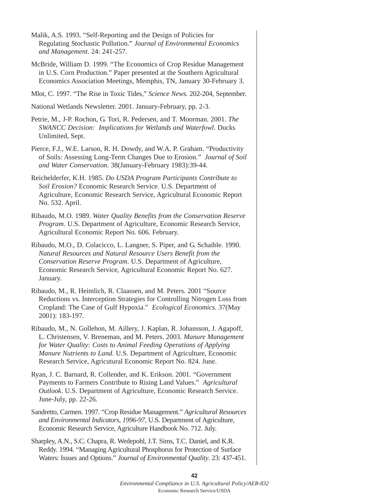Malik, A.S. 1993. "Self-Reporting and the Design of Policies for Regulating Stochastic Pollution." *Journal of Environmental Economics and Management*. 24: 241-257.

- McBride, William D. 1999. "The Economics of Crop Residue Management in U.S. Corn Production." Paper presented at the Southern Agricultural Economics Association Meetings, Memphis, TN, January 30-February 3.
- Mlot, C. 1997. "The Rise in Toxic Tides," *Science News.* 202-204, September.

National Wetlands Newsletter. 2001. January-February, pp. 2-3.

- Petrie, M., J-P. Rochon, G. Tori, R. Pedersen, and T. Moorman. 2001. *The SWANCC Decision: Implications for Wetlands and Waterfowl*. Ducks Unlimited, Sept.
- Pierce, F.J., W.E. Larson, R. H. Dowdy, and W.A. P. Graham. "Productivity of Soils: Assessing Long-Term Changes Due to Erosion." *Journal of Soil and Water Conservation*. 38(January-February 1983):39-44.
- Reichelderfer, K.H. 1985. *Do USDA Program Participants Contribute to Soil Erosion?* Economic Research Service. U.S. Department of Agriculture, Economic Research Service, Agricultural Economic Report No. 532. April.
- Ribaudo, M.O. 1989. *Water Quality Benefits from the Conservation Reserve Program*. U.S. Department of Agriculture, Economic Research Service, Agricultural Economic Report No. 606. February.
- Ribaudo, M.O., D. Colacicco, L. Langner, S. Piper, and G. Schaible. 1990. *Natural Resources and Natural Resource Users Benefit from the Conservation Reserve Program*. U.S. Department of Agriculture, Economic Research Service, Agricultural Economic Report No. 627. January.
- Ribaudo, M., R. Heimlich, R. Claassen, and M. Peters. 2001 "Source Reductions vs. Interception Strategies for Controlling Nitrogen Loss from Cropland: The Case of Gulf Hypoxia." *Ecological Economics*. 37(May 2001): 183-197.
- Ribaudo, M., N. Gollehon, M. Aillery, J. Kaplan, R. Johansson, J. Agapoff, L. Christensen, V. Breneman, and M. Peters. 2003. *Manure Management for Water Quality: Costs to Animal Feeding Operations of Applying Manure Nutrients to Land*. U.S. Department of Agriculture, Economic Research Service, Agricutural Economic Report No. 824. June.
- Ryan, J. C. Barnard, R. Collender, and K. Erikson. 2001. "Government Payments to Farmers Contribute to Rising Land Values." *Agricultural Outlook*. U.S. Department of Agriculture, Economic Research Service. June-July, pp. 22-26.
- Sandretto, Carmen. 1997. "Crop Residue Management." *Agricultural Resources and Environmental Indicators*, *1996-97*, U.S. Department of Agriculture, Economic Research Service, Agriculture Handbook No. 712. July.
- Sharpley, A.N., S.C. Chapra, R. Wedepohl, J.T. Sims, T.C. Daniel, and K.R. Reddy. 1994. "Managing Agricultural Phosphorus for Protection of Surface Waters: Issues and Options." *Journal of Environmental Quality*. 23: 437-451.